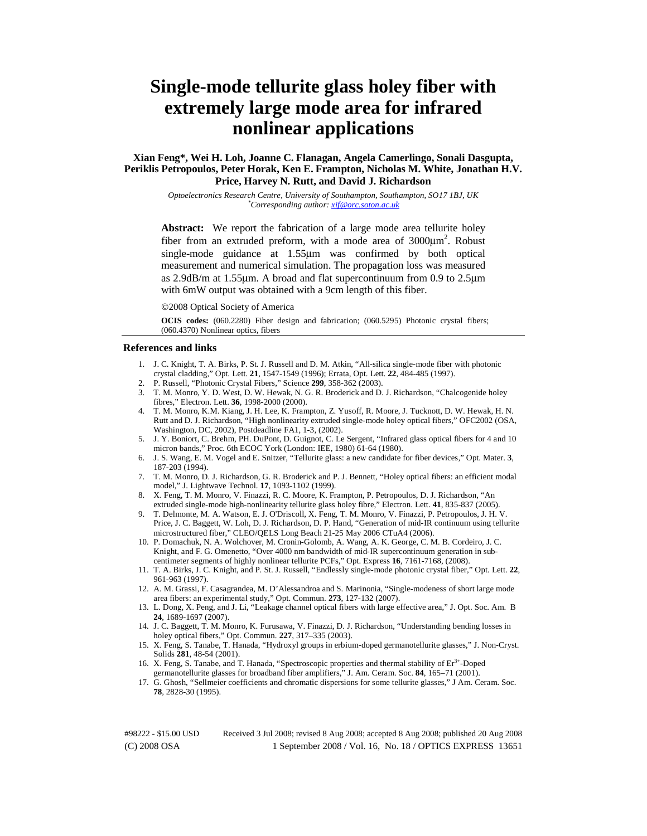# **Single-mode tellurite glass holey fiber with extremely large mode area for infrared nonlinear applications**

# **Xian Feng\*, Wei H. Loh, Joanne C. Flanagan, Angela Camerlingo, Sonali Dasgupta, Periklis Petropoulos, Peter Horak, Ken E. Frampton, Nicholas M. White, Jonathan H.V. Price, Harvey N. Rutt, and David J. Richardson**

*Optoelectronics Research Centre, University of Southampton, Southampton, SO17 1BJ, UK \*Corresponding author: xif@orc.soton.ac.uk*

Abstract: We report the fabrication of a large mode area tellurite holey fiber from an extruded preform, with a mode area of  $3000 \mu m^2$ . Robust single-mode guidance at 1.55μm was confirmed by both optical measurement and numerical simulation. The propagation loss was measured as 2.9dB/m at 1.55μm. A broad and flat supercontinuum from 0.9 to 2.5μm with 6mW output was obtained with a 9cm length of this fiber.

©2008 Optical Society of America

**OCIS codes:** (060.2280) Fiber design and fabrication; (060.5295) Photonic crystal fibers; (060.4370) Nonlinear optics, fibers

#### **References and links**

- 1. J. C. Knight, T. A. Birks, P. St. J. Russell and D. M. Atkin, "All-silica single-mode fiber with photonic crystal cladding," Opt. Lett. **21**, 1547-1549 (1996); Errata, Opt. Lett. **22**, 484-485 (1997).
- 2. P. Russell, "Photonic Crystal Fibers," Science **299**, 358-362 (2003).
- 3. T. M. Monro, Y. D. West, D. W. Hewak, N. G. R. Broderick and D. J. Richardson, "Chalcogenide holey fibres," Electron. Lett. **36**, 1998-2000 (2000).
- 4. T. M. Monro, K.M. Kiang, J. H. Lee, K. Frampton, Z. Yusoff, R. Moore, J. Tucknott, D. W. Hewak, H. N. Rutt and D. J. Richardson, "High nonlinearity extruded single-mode holey optical fibers," OFC2002 (OSA, Washington, DC, 2002), Postdeadline FA1, 1-3, (2002).
- 5. J. Y. Boniort, C. Brehm, PH. DuPont, D. Guignot, C. Le Sergent, "Infrared glass optical fibers for 4 and 10 micron bands," Proc. 6th ECOC York (London: IEE, 1980) 61-64 (1980).
- 6. J. S. Wang, E. M. Vogel and E. Snitzer, "Tellurite glass: a new candidate for fiber devices," Opt. Mater. **3**, 187-203 (1994).
- 7. T. M. Monro, D. J. Richardson, G. R. Broderick and P. J. Bennett, "Holey optical fibers: an efficient modal model," J. Lightwave Technol. **17**, 1093-1102 (1999).
- 8. X. Feng, T. M. Monro, V. Finazzi, R. C. Moore, K. Frampton, P. Petropoulos, D. J. Richardson, "An extruded single-mode high-nonlinearity tellurite glass holey fibre," Electron. Lett. **41**, 835-837 (2005).
- 9. T. Delmonte, M. A. Watson, E. J. O'Driscoll, X. Feng, T. M. Monro, V. Finazzi, P. Petropoulos, J. H. V. Price, J. C. Baggett, W. Loh, D. J. Richardson, D. P. Hand, "Generation of mid-IR continuum using tellurite microstructured fiber," CLEO/QELS Long Beach 21-25 May 2006 CTuA4 (2006).
- 10. P. Domachuk, N. A. Wolchover, M. Cronin-Golomb, A. Wang, A. K. George, C. M. B. Cordeiro, J. C. Knight, and F. G. Omenetto, "Over 4000 nm bandwidth of mid-IR supercontinuum generation in subcentimeter segments of highly nonlinear tellurite PCFs," Opt. Express **16**, 7161-7168, (2008).
- 11. T. A. Birks, J. C. Knight, and P. St. J. Russell, "Endlessly single-mode photonic crystal fiber," Opt. Lett. **22**, 961-963 (1997).
- 12. A. M. Grassi, F. Casagrandea, M. D'Alessandroa and S. Marinonia, "Single-modeness of short large mode area fibers: an experimental study," Opt. Commun. **273**, 127-132 (2007).
- 13. L. Dong, X. Peng, and J. Li, "Leakage channel optical fibers with large effective area," J. Opt. Soc. Am. B **24**, 1689-1697 (2007).
- 14. J. C. Baggett, T. M. Monro, K. Furusawa, V. Finazzi, D. J. Richardson, "Understanding bending losses in holey optical fibers," Opt. Commun. **227**, 317–335 (2003).
- 15. X. Feng, S. Tanabe, T. Hanada, "Hydroxyl groups in erbium-doped germanotellurite glasses," J. Non-Cryst. Solids **281**, 48-54 (2001).
- 16. X. Feng, S. Tanabe, and T. Hanada, "Spectroscopic properties and thermal stability of Er<sup>3+</sup>-Doped germanotellurite glasses for broadband fiber amplifiers," J. Am. Ceram. Soc. **84**, 165–71 (2001).
- 17. G. Ghosh, "Sellmeier coefficients and chromatic dispersions for some tellurite glasses," J Am. Ceram. Soc. **78**, 2828-30 (1995).

(C) 2008 OSA 1 September 2008 / Vol. 16, No. 18 / OPTICS EXPRESS 13651 #98222 - \$15.00 USD Received 3 Jul 2008; revised 8 Aug 2008; accepted 8 Aug 2008; published 20 Aug 2008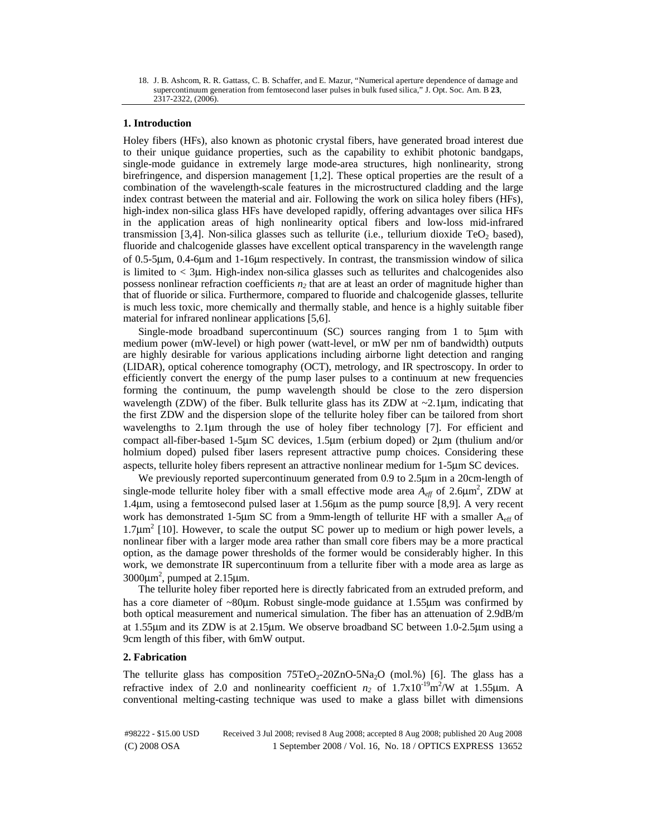18. J. B. Ashcom, R. R. Gattass, C. B. Schaffer, and E. Mazur, "Numerical aperture dependence of damage and supercontinuum generation from femtosecond laser pulses in bulk fused silica," J. Opt. Soc. Am. B **23**, 2317-2322, (2006).

# **1. Introduction**

Holey fibers (HFs), also known as photonic crystal fibers, have generated broad interest due to their unique guidance properties, such as the capability to exhibit photonic bandgaps, single-mode guidance in extremely large mode-area structures, high nonlinearity, strong birefringence, and dispersion management [1,2]. These optical properties are the result of a combination of the wavelength-scale features in the microstructured cladding and the large index contrast between the material and air. Following the work on silica holey fibers (HFs), high-index non-silica glass HFs have developed rapidly, offering advantages over silica HFs in the application areas of high nonlinearity optical fibers and low-loss mid-infrared transmission [3,4]. Non-silica glasses such as tellurite (i.e., tellurium dioxide  $TeO<sub>2</sub>$  based), fluoride and chalcogenide glasses have excellent optical transparency in the wavelength range of 0.5-5μm, 0.4-6μm and 1-16μm respectively. In contrast, the transmission window of silica is limited to < 3μm. High-index non-silica glasses such as tellurites and chalcogenides also possess nonlinear refraction coefficients  $n_2$  that are at least an order of magnitude higher than that of fluoride or silica. Furthermore, compared to fluoride and chalcogenide glasses, tellurite is much less toxic, more chemically and thermally stable, and hence is a highly suitable fiber material for infrared nonlinear applications [5,6].

Single-mode broadband supercontinuum (SC) sources ranging from 1 to 5μm with medium power (mW-level) or high power (watt-level, or mW per nm of bandwidth) outputs are highly desirable for various applications including airborne light detection and ranging (LIDAR), optical coherence tomography (OCT), metrology, and IR spectroscopy. In order to efficiently convert the energy of the pump laser pulses to a continuum at new frequencies forming the continuum, the pump wavelength should be close to the zero dispersion wavelength (ZDW) of the fiber. Bulk tellurite glass has its ZDW at  $\sim$ 2.1 $\mu$ m, indicating that the first ZDW and the dispersion slope of the tellurite holey fiber can be tailored from short wavelengths to 2.1μm through the use of holey fiber technology [7]. For efficient and compact all-fiber-based 1-5μm SC devices, 1.5μm (erbium doped) or 2μm (thulium and/or holmium doped) pulsed fiber lasers represent attractive pump choices. Considering these aspects, tellurite holey fibers represent an attractive nonlinear medium for 1-5μm SC devices.

We previously reported supercontinuum generated from 0.9 to 2.5μm in a 20cm-length of single-mode tellurite holey fiber with a small effective mode area  $A_{\text{eff}}$  of 2.6 $\mu$ m<sup>2</sup>, ZDW at 1.4μm, using a femtosecond pulsed laser at 1.56μm as the pump source [8,9]. A very recent work has demonstrated 1-5μm SC from a 9mm-length of tellurite HF with a smaller Aeff of  $1.7\mu m^2$  [10]. However, to scale the output SC power up to medium or high power levels, a nonlinear fiber with a larger mode area rather than small core fibers may be a more practical option, as the damage power thresholds of the former would be considerably higher. In this work, we demonstrate IR supercontinuum from a tellurite fiber with a mode area as large as  $3000 \mu m^2$ , pumped at  $2.15 \mu m$ .

The tellurite holey fiber reported here is directly fabricated from an extruded preform, and has a core diameter of ~80μm. Robust single-mode guidance at 1.55μm was confirmed by both optical measurement and numerical simulation. The fiber has an attenuation of 2.9dB/m at 1.55μm and its ZDW is at 2.15μm. We observe broadband SC between 1.0-2.5μm using a 9cm length of this fiber, with 6mW output.

# **2. Fabrication**

The tellurite glass has composition  $75TeO<sub>2</sub>-20ZnO-5Na<sub>2</sub>O$  (mol.%) [6]. The glass has a refractive index of 2.0 and nonlinearity coefficient  $n_2$  of  $1.7 \times 10^{-19}$  m<sup>2</sup>/W at  $1.55 \mu$ m. A conventional melting-casting technique was used to make a glass billet with dimensions

(C) 2008 OSA 1 September 2008 / Vol. 16, No. 18 / OPTICS EXPRESS 13652 #98222 - \$15.00 USD Received 3 Jul 2008; revised 8 Aug 2008; accepted 8 Aug 2008; published 20 Aug 2008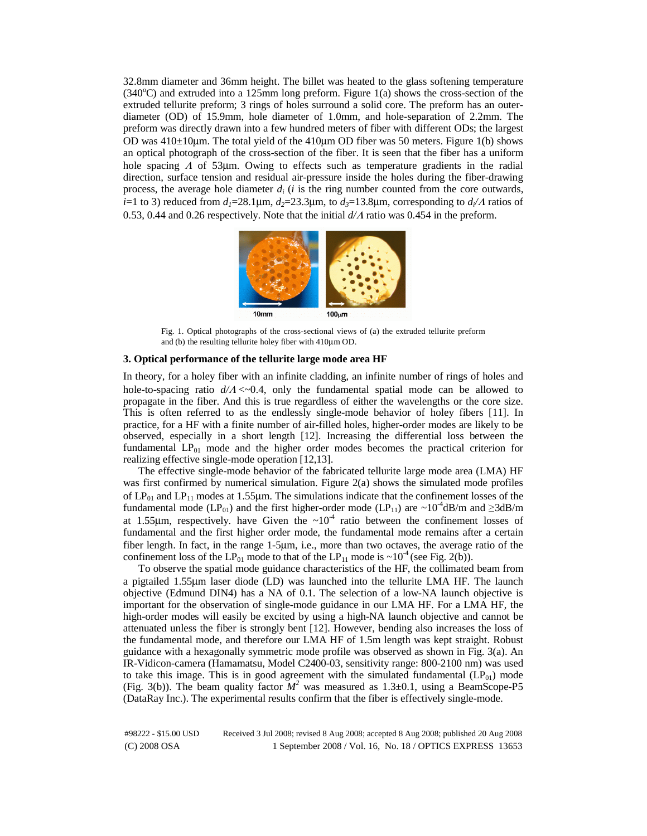32.8mm diameter and 36mm height. The billet was heated to the glass softening temperature  $(340^{\circ}$ C) and extruded into a 125mm long preform. Figure 1(a) shows the cross-section of the extruded tellurite preform; 3 rings of holes surround a solid core. The preform has an outerdiameter (OD) of 15.9mm, hole diameter of 1.0mm, and hole-separation of 2.2mm. The preform was directly drawn into a few hundred meters of fiber with different ODs; the largest OD was  $410\pm10\mu$ m. The total yield of the  $410\mu$ m OD fiber was 50 meters. Figure 1(b) shows an optical photograph of the cross-section of the fiber. It is seen that the fiber has a uniform hole spacing  $\Lambda$  of 53 km. Owing to effects such as temperature gradients in the radial direction, surface tension and residual air-pressure inside the holes during the fiber-drawing process, the average hole diameter  $d_i$  ( $i$  is the ring number counted from the core outwards, *i*=1 to 3) reduced from  $d_1$ =28.1 $\mu$ m,  $d_2$ =23.3 $\mu$ m, to  $d_3$ =13.8 $\mu$ m, corresponding to  $d_i/A$  ratios of 0.53, 0.44 and 0.26 respectively. Note that the initial *d/*Λ ratio was 0.454 in the preform.



Fig. 1. Optical photographs of the cross-sectional views of (a) the extruded tellurite preform and (b) the resulting tellurite holey fiber with 410μm OD.

### **3. Optical performance of the tellurite large mode area HF**

In theory, for a holey fiber with an infinite cladding, an infinite number of rings of holes and hole-to-spacing ratio *d/*<sup>Λ</sup> <~0.4, only the fundamental spatial mode can be allowed to propagate in the fiber. And this is true regardless of either the wavelengths or the core size. This is often referred to as the endlessly single-mode behavior of holey fibers [11]. In practice, for a HF with a finite number of air-filled holes, higher-order modes are likely to be observed, especially in a short length [12]. Increasing the differential loss between the fundamental  $LP_{01}$  mode and the higher order modes becomes the practical criterion for realizing effective single-mode operation [12,13].

The effective single-mode behavior of the fabricated tellurite large mode area (LMA) HF was first confirmed by numerical simulation. Figure 2(a) shows the simulated mode profiles of  $LP_{01}$  and  $LP_{11}$  modes at 1.55µm. The simulations indicate that the confinement losses of the fundamental mode (LP<sub>01</sub>) and the first higher-order mode (LP<sub>11</sub>) are ~10<sup>-4</sup>dB/m and ≥3dB/m at 1.55µm, respectively. have Given the ~10<sup>-4</sup> ratio between the confinement losses of fundamental and the first higher order mode, the fundamental mode remains after a certain fiber length. In fact, in the range 1-5μm, i.e., more than two octaves, the average ratio of the confinement loss of the LP<sub>01</sub> mode to that of the LP<sub>11</sub> mode is  $\sim 10^{-4}$  (see Fig. 2(b)).

To observe the spatial mode guidance characteristics of the HF, the collimated beam from a pigtailed 1.55μm laser diode (LD) was launched into the tellurite LMA HF. The launch objective (Edmund DIN4) has a NA of 0.1. The selection of a low-NA launch objective is important for the observation of single-mode guidance in our LMA HF. For a LMA HF, the high-order modes will easily be excited by using a high-NA launch objective and cannot be attenuated unless the fiber is strongly bent [12]. However, bending also increases the loss of the fundamental mode, and therefore our LMA HF of 1.5m length was kept straight. Robust guidance with a hexagonally symmetric mode profile was observed as shown in Fig. 3(a). An IR-Vidicon-camera (Hamamatsu, Model C2400-03, sensitivity range: 800-2100 nm) was used to take this image. This is in good agreement with the simulated fundamental  $(LP<sub>01</sub>)$  mode (Fig. 3(b)). The beam quality factor  $M^2$  was measured as 1.3±0.1, using a BeamScope-P5 (DataRay Inc.). The experimental results confirm that the fiber is effectively single-mode.

(C) 2008 OSA 1 September 2008 / Vol. 16, No. 18 / OPTICS EXPRESS 13653 #98222 - \$15.00 USD Received 3 Jul 2008; revised 8 Aug 2008; accepted 8 Aug 2008; published 20 Aug 2008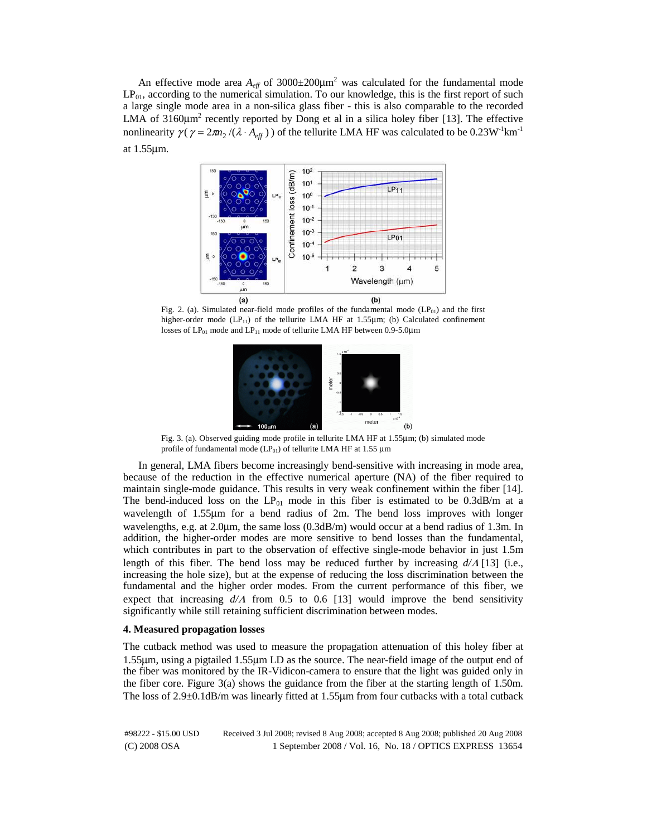An effective mode area  $A_{\text{eff}}$  of 3000 $\pm$ 200 $\mu$ m<sup>2</sup> was calculated for the fundamental mode  $LP_{01}$ , according to the numerical simulation. To our knowledge, this is the first report of such a large single mode area in a non-silica glass fiber - this is also comparable to the recorded LMA of  $3160 \mu m^2$  recently reported by Dong et al in a silica holey fiber [13]. The effective nonlinearity  $\gamma (\gamma = 2m_2/(\lambda \cdot A_{eff})$  of the tellurite LMA HF was calculated to be 0.23W<sup>-1</sup>km<sup>-1</sup> at 1.55μm.



Fig. 2. (a). Simulated near-field mode profiles of the fundamental mode  $(LP_{01})$  and the first higher-order mode  $(LP_{11})$  of the tellurite LMA HF at 1.55 $\mu$ m; (b) Calculated confinement losses of  $LP_{01}$  mode and  $LP_{11}$  mode of tellurite LMA HF between 0.9-5.0µm



Fig. 3. (a). Observed guiding mode profile in tellurite LMA HF at 1.55μm; (b) simulated mode profile of fundamental mode ( $LP_{01}$ ) of tellurite LMA HF at 1.55 µm

In general, LMA fibers become increasingly bend-sensitive with increasing in mode area, because of the reduction in the effective numerical aperture (NA) of the fiber required to maintain single-mode guidance. This results in very weak confinement within the fiber [14]. The bend-induced loss on the  $LP_{01}$  mode in this fiber is estimated to be 0.3dB/m at a wavelength of 1.55μm for a bend radius of 2m. The bend loss improves with longer wavelengths, e.g. at 2.0μm, the same loss (0.3dB/m) would occur at a bend radius of 1.3m. In addition, the higher-order modes are more sensitive to bend losses than the fundamental, which contributes in part to the observation of effective single-mode behavior in just 1.5m length of this fiber. The bend loss may be reduced further by increasing *d/*Λ [13] (i.e., increasing the hole size), but at the expense of reducing the loss discrimination between the fundamental and the higher order modes. From the current performance of this fiber, we expect that increasing  $d/\Lambda$  from 0.5 to 0.6 [13] would improve the bend sensitivity significantly while still retaining sufficient discrimination between modes.

### **4. Measured propagation losses**

The cutback method was used to measure the propagation attenuation of this holey fiber at 1.55μm, using a pigtailed 1.55μm LD as the source. The near-field image of the output end of the fiber was monitored by the IR-Vidicon-camera to ensure that the light was guided only in the fiber core. Figure  $3(a)$  shows the guidance from the fiber at the starting length of 1.50m. The loss of 2.9±0.1dB/m was linearly fitted at 1.55μm from four cutbacks with a total cutback

(C) 2008 OSA 1 September 2008 / Vol. 16, No. 18 / OPTICS EXPRESS 13654 #98222 - \$15.00 USD Received 3 Jul 2008; revised 8 Aug 2008; accepted 8 Aug 2008; published 20 Aug 2008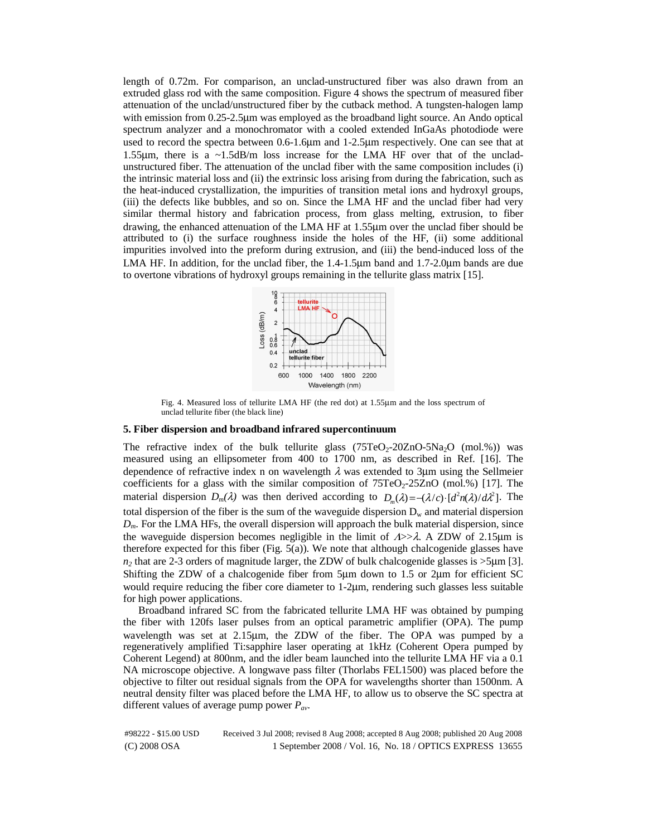length of 0.72m. For comparison, an unclad-unstructured fiber was also drawn from an extruded glass rod with the same composition. Figure 4 shows the spectrum of measured fiber attenuation of the unclad/unstructured fiber by the cutback method. A tungsten-halogen lamp with emission from 0.25-2.5 km was employed as the broadband light source. An Ando optical spectrum analyzer and a monochromator with a cooled extended InGaAs photodiode were used to record the spectra between 0.6-1.6μm and 1-2.5μm respectively. One can see that at 1.55μm, there is a ~1.5dB/m loss increase for the LMA HF over that of the uncladunstructured fiber. The attenuation of the unclad fiber with the same composition includes (i) the intrinsic material loss and (ii) the extrinsic loss arising from during the fabrication, such as the heat-induced crystallization, the impurities of transition metal ions and hydroxyl groups, (iii) the defects like bubbles, and so on. Since the LMA HF and the unclad fiber had very similar thermal history and fabrication process, from glass melting, extrusion, to fiber drawing, the enhanced attenuation of the LMA HF at 1.55μm over the unclad fiber should be attributed to (i) the surface roughness inside the holes of the HF, (ii) some additional impurities involved into the preform during extrusion, and (iii) the bend-induced loss of the LMA HF. In addition, for the unclad fiber, the 1.4-1.5μm band and 1.7-2.0μm bands are due to overtone vibrations of hydroxyl groups remaining in the tellurite glass matrix [15].



Fig. 4. Measured loss of tellurite LMA HF (the red dot) at 1.55μm and the loss spectrum of unclad tellurite fiber (the black line)

# **5. Fiber dispersion and broadband infrared supercontinuum**

The refractive index of the bulk tellurite glass  $(75TeO<sub>2</sub>-20ZnO-5Na<sub>2</sub>O$  (mol.%)) was measured using an ellipsometer from 400 to 1700 nm, as described in Ref. [16]. The dependence of refractive index n on wavelength  $\lambda$  was extended to 3 µm using the Sellmeier coefficients for a glass with the similar composition of  $75TeO<sub>2</sub>-25ZnO$  (mol.%) [17]. The material dispersion  $D_m(\lambda)$  was then derived according to  $D_m(\lambda) = -(\lambda/c) \cdot [d^2n(\lambda)/d\lambda^2]$ . The total dispersion of the fiber is the sum of the waveguide dispersion  $D_w$  and material dispersion *Dm*. For the LMA HFs, the overall dispersion will approach the bulk material dispersion, since the waveguide dispersion becomes negligible in the limit of  $\Delta >> \lambda$ . A ZDW of 2.15μm is therefore expected for this fiber (Fig.  $5(a)$ ). We note that although chalcogenide glasses have *n2* that are 2-3 orders of magnitude larger, the ZDW of bulk chalcogenide glasses is >5μm [3]. Shifting the ZDW of a chalcogenide fiber from 5μm down to 1.5 or 2μm for efficient SC would require reducing the fiber core diameter to 1-2μm, rendering such glasses less suitable for high power applications.

Broadband infrared SC from the fabricated tellurite LMA HF was obtained by pumping the fiber with 120fs laser pulses from an optical parametric amplifier (OPA). The pump wavelength was set at 2.15μm, the ZDW of the fiber. The OPA was pumped by a regeneratively amplified Ti:sapphire laser operating at 1kHz (Coherent Opera pumped by Coherent Legend) at 800nm, and the idler beam launched into the tellurite LMA HF via a 0.1 NA microscope objective. A longwave pass filter (Thorlabs FEL1500) was placed before the objective to filter out residual signals from the OPA for wavelengths shorter than 1500nm. A neutral density filter was placed before the LMA HF, to allow us to observe the SC spectra at different values of average pump power *Pav*.

(C) 2008 OSA 1 September 2008 / Vol. 16, No. 18 / OPTICS EXPRESS 13655 #98222 - \$15.00 USD Received 3 Jul 2008; revised 8 Aug 2008; accepted 8 Aug 2008; published 20 Aug 2008